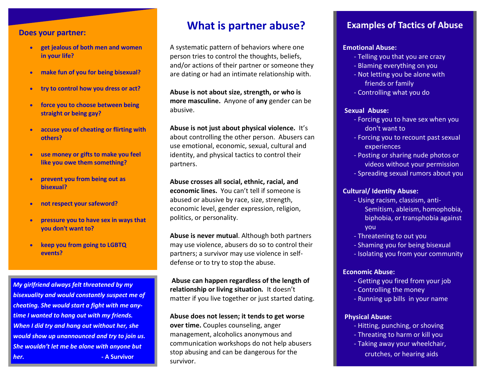#### **Does your partner:**

- **get jealous of both men and women in your life?**
- **make fun of you for being bisexual?**
- **try to control how you dress or act?**
- **force you to choose between being straight or being gay?**
- **accuse you of cheating or flirting with others?**
- **use money or gifts to make you feel like you owe them something?**
- **prevent you from being out as bisexual?**
- **not respect your safeword?**
- **pressure you to have sex in ways that you don't want to?**
- **keep you from going to LGBTQ events?**

*My girlfriend always felt threatened by my bisexuality and would constantly suspect me of cheating. She would start a fight with me anytime I wanted to hang out with my friends. When I did try and hang out without her, she would show up unannounced and try to join us. She wouldn't let me be alone with anyone but her.* **<b>- A Survivor** 

### **What is partner abuse? Examples of Tactics of Abuse**

A systematic pattern of behaviors where one person tries to control the thoughts, beliefs, and/or actions of their partner or someone they are dating or had an intimate relationship with.

**Abuse is not about size, strength, or who is more masculine.** Anyone of **any** gender can be abusive.

**Abuse is not just about physical violence.** It's about controlling the other person. Abusers can use emotional, economic, sexual, cultural and identity, and physical tactics to control their partners.

**Abuse crosses all social, ethnic, racial, and economic lines.** You can't tell if someone is abused or abusive by race, size, strength, economic level, gender expression, religion, politics, or personality.

**Abuse is never mutual**. Although both partners may use violence, abusers do so to control their partners; a survivor may use violence in selfdefense or to try to stop the abuse.

**Abuse can happen regardless of the length of relationship or living situation***.* It doesn't matter if you live together or just started dating.

#### **Abuse does not lessen; it tends to get worse**

**over time.** Couples counseling, anger management, alcoholics anonymous and communication workshops do not help abusers stop abusing and can be dangerous for the survivor.

#### **Emotional Abuse:**

- Telling you that you are crazy
- Blaming everything on you
- Not letting you be alone with friends or family
- Controlling what you do

#### **Sexual Abuse:**

- Forcing you to have sex when you don't want to
- Forcing you to recount past sexual experiences
- Posting or sharing nude photos or videos without your permission
- Spreading sexual rumors about you

#### **Cultural/ Identity Abuse:**

- Using racism, classism, anti-Semitism, ableism, homophobia, biphobia, or transphobia against you
- Threatening to out you
- Shaming you for being bisexual
- Isolating you from your community

#### **Economic Abuse:**

- Getting you fired from your job
- Controlling the money
- Running up bills in your name

#### **Physical Abuse:**

- Hitting, punching, or shoving
- Threating to harm or kill you
- Taking away your wheelchair, crutches, or hearing aids